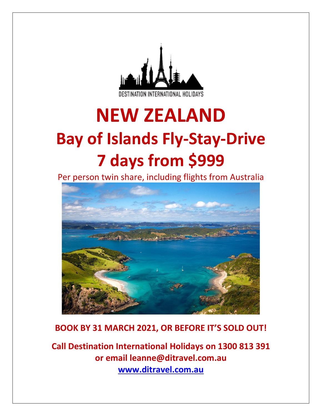

# **NEW ZEALAND Bay of Islands Fly-Stay-Drive 7 days from \$999**

Per person twin share, including flights from Australia



# **BOOK BY 31 MARCH 2021, OR BEFORE IT'S SOLD OUT!**

**Call Destination International Holidays on 1300 813 391 or email leanne@ditravel.com.au [www.ditravel.com.au](http://www.ditravel.com.au/)**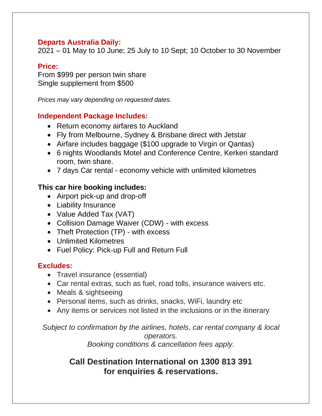## **Departs Australia Daily:**

2021 – 01 May to 10 June; 25 July to 10 Sept; 10 October to 30 November

## **Price:**

From \$999 per person twin share Single supplement from \$500

*Prices may vary depending on requested dates.*

## **Independent Package Includes:**

- Return economy airfares to Auckland
- Fly from Melbourne, Sydney & Brisbane direct with Jetstar
- Airfare includes baggage (\$100 upgrade to Virgin or Qantas)
- 6 nights Woodlands Motel and Conference Centre, Kerkeri standard room, twin share.
- 7 days Car rental economy vehicle with unlimited kilometres

## **This car hire booking includes:**

- Airport pick-up and drop-off
- Liability Insurance
- Value Added Tax (VAT)
- Collision Damage Waiver (CDW) with excess
- Theft Protection (TP) with excess
- Unlimited Kilometres
- Fuel Policy: Pick-up Full and Return Full

## **Excludes:**

- Travel insurance (essential)
- Car rental extras, such as fuel, road tolls, insurance waivers etc.
- Meals & sightseeing
- Personal items, such as drinks, snacks, WiFi, laundry etc
- Any items or services not listed in the inclusions or in the itinerary

*Subject to confirmation by the airlines, hotels, car rental company & local operators.* 

*Booking conditions & cancellation fees apply.*

# **Call Destination International on 1300 813 391 for enquiries & reservations.**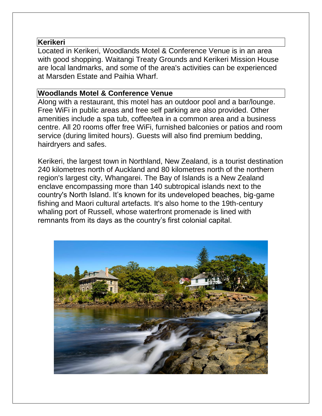## **Kerikeri**

Located in Kerikeri, Woodlands Motel & Conference Venue is in an area with good shopping. Waitangi Treaty Grounds and Kerikeri Mission House are local landmarks, and some of the area's activities can be experienced at Marsden Estate and Paihia Wharf.

## **Woodlands Motel & Conference Venue**

Along with a restaurant, this motel has an outdoor pool and a bar/lounge. Free WiFi in public areas and free self parking are also provided. Other amenities include a spa tub, coffee/tea in a common area and a business centre. All 20 rooms offer free WiFi, furnished balconies or patios and room service (during limited hours). Guests will also find premium bedding, hairdryers and safes.

Kerikeri, the largest town in Northland, New Zealand, is a tourist destination 240 kilometres north of Auckland and 80 kilometres north of the northern region's largest city, Whangarei. The Bay of Islands is a New Zealand enclave encompassing more than 140 subtropical islands next to the country's North Island. It's known for its undeveloped beaches, big-game fishing and Maori cultural artefacts. It's also home to the 19th-century whaling port of Russell, whose waterfront promenade is lined with remnants from its days as the country's first colonial capital.

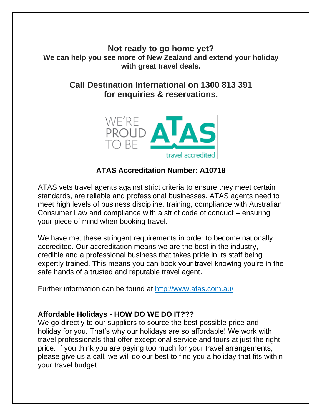**Not ready to go home yet? We can help you see more of New Zealand and extend your holiday with great travel deals.**

> **Call Destination International on 1300 813 391 for enquiries & reservations.**



## **ATAS Accreditation Number: A10718**

ATAS vets travel agents against strict criteria to ensure they meet certain standards, are reliable and professional businesses. ATAS agents need to meet high levels of business discipline, training, compliance with Australian Consumer Law and compliance with a strict code of conduct – ensuring your piece of mind when booking travel.

We have met these stringent requirements in order to become nationally accredited. Our accreditation means we are the best in the industry, credible and a professional business that takes pride in its staff being expertly trained. This means you can book your travel knowing you're in the safe hands of a trusted and reputable travel agent.

Further information can be found at<http://www.atas.com.au/>

## **Affordable Holidays - HOW DO WE DO IT???**

We go directly to our suppliers to source the best possible price and holiday for you. That's why our holidays are so affordable! We work with travel professionals that offer exceptional service and tours at just the right price. If you think you are paying too much for your travel arrangements, please give us a call, we will do our best to find you a holiday that fits within your travel budget.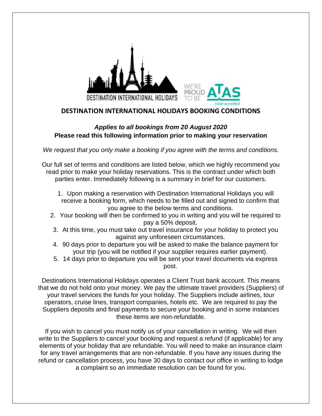

#### **DESTINATION INTERNATIONAL HOLIDAYS BOOKING CONDITIONS**

## *Applies to all bookings from 20 August 2020*  **Please read this following information prior to making your reservation**

*We request that you only make a booking if you agree with the terms and conditions.*

Our full set of terms and conditions are listed below, which we highly recommend you read prior to make your holiday reservations. This is the contract under which both parties enter. Immediately following is a summary in brief for our customers.

- 1. Upon making a reservation with Destination International Holidays you will receive a booking form, which needs to be filled out and signed to confirm that you agree to the below terms and conditions.
- 2. Your booking will then be confirmed to you in writing and you will be required to pay a 50% deposit.
- 3. At this time, you must take out travel insurance for your holiday to protect you against any unforeseen circumstances.
- 4. 90 days prior to departure you will be asked to make the balance payment for your trip (you will be notified if your supplier requires earlier payment).
- 5. 14 days prior to departure you will be sent your travel documents via express post.

Destinations International Holidays operates a Client Trust bank account. This means that we do not hold onto your money. We pay the ultimate travel providers (Suppliers) of your travel services the funds for your holiday. The Suppliers include airlines, tour operators, cruise lines, transport companies, hotels etc. We are required to pay the Suppliers deposits and final payments to secure your booking and in some instances these items are non-refundable.

If you wish to cancel you must notify us of your cancellation in writing. We will then write to the Suppliers to cancel your booking and request a refund (if applicable) for any elements of your holiday that are refundable. You will need to make an insurance claim for any travel arrangements that are non-refundable. If you have any issues during the refund or cancellation process, you have 30 days to contact our office in writing to lodge a complaint so an immediate resolution can be found for you.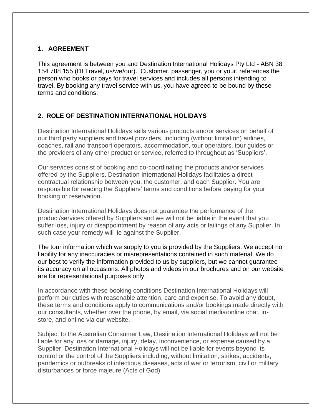#### **1. AGREEMENT**

This agreement is between you and Destination International Holidays Pty Ltd - ABN 38 154 788 155 (DI Travel, us/we/our). Customer, passenger, you or your, references the person who books or pays for travel services and includes all persons intending to travel. By booking any travel service with us, you have agreed to be bound by these terms and conditions.

## **2. ROLE OF DESTINATION INTERNATIONAL HOLIDAYS**

Destination International Holidays sells various products and/or services on behalf of our third party suppliers and travel providers, including (without limitation) airlines, coaches, rail and transport operators, accommodation, tour operators, tour guides or the providers of any other product or service, referred to throughout as 'Suppliers'.

Our services consist of booking and co-coordinating the products and/or services offered by the Suppliers. Destination International Holidays facilitates a direct contractual relationship between you, the customer, and each Supplier. You are responsible for reading the Suppliers' terms and conditions before paying for your booking or reservation.

Destination International Holidays does not guarantee the performance of the product/services offered by Suppliers and we will not be liable in the event that you suffer loss, injury or disappointment by reason of any acts or failings of any Supplier. In such case your remedy will lie against the Supplier.

The tour information which we supply to you is provided by the Suppliers. We accept no liability for any inaccuracies or misrepresentations contained in such material. We do our best to verify the information provided to us by suppliers, but we cannot guarantee its accuracy on all occasions. All photos and videos in our brochures and on our website are for representational purposes only.

In accordance with these booking conditions Destination International Holidays will perform our duties with reasonable attention, care and expertise. To avoid any doubt, these terms and conditions apply to communications and/or bookings made directly with our consultants, whether over the phone, by email, via social media/online chat, instore, and online via our website.

Subject to the Australian Consumer Law, Destination International Holidays will not be liable for any loss or damage, injury, delay, inconvenience, or expense caused by a Supplier. Destination International Holidays will not be liable for events beyond its control or the control of the Suppliers including, without limitation, strikes, accidents, pandemics or outbreaks of infectious diseases, acts of war or terrorism, civil or military disturbances or force majeure (Acts of God).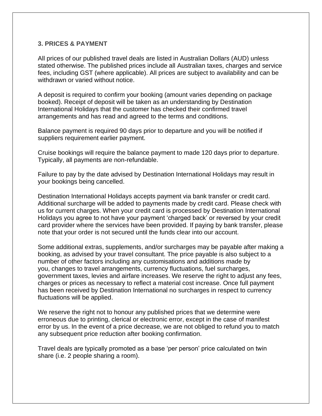#### **3. PRICES & PAYMENT**

All prices of our published travel deals are listed in Australian Dollars (AUD) unless stated otherwise. The published prices include all Australian taxes, charges and service fees, including GST (where applicable). All prices are subject to availability and can be withdrawn or varied without notice.

A deposit is required to confirm your booking (amount varies depending on package booked). Receipt of deposit will be taken as an understanding by Destination International Holidays that the customer has checked their confirmed travel arrangements and has read and agreed to the terms and conditions.

Balance payment is required 90 days prior to departure and you will be notified if suppliers requirement earlier payment.

Cruise bookings will require the balance payment to made 120 days prior to departure. Typically, all payments are non-refundable.

Failure to pay by the date advised by Destination International Holidays may result in your bookings being cancelled.

Destination International Holidays accepts payment via bank transfer or credit card. Additional surcharge will be added to payments made by credit card. Please check with us for current charges. When your credit card is processed by Destination International Holidays you agree to not have your payment 'charged back' or reversed by your credit card provider where the services have been provided. If paying by bank transfer, please note that your order is not secured until the funds clear into our account.

Some additional extras, supplements, and/or surcharges may be payable after making a booking, as advised by your travel consultant. The price payable is also subject to a number of other factors including any customisations and additions made by you, changes to travel arrangements, currency fluctuations, fuel surcharges, government taxes, levies and airfare increases. We reserve the right to adjust any fees, charges or prices as necessary to reflect a material cost increase. Once full payment has been received by Destination International no surcharges in respect to currency fluctuations will be applied.

We reserve the right not to honour any published prices that we determine were erroneous due to printing, clerical or electronic error, except in the case of manifest error by us. In the event of a price decrease, we are not obliged to refund you to match any subsequent price reduction after booking confirmation.

Travel deals are typically promoted as a base 'per person' price calculated on twin share (i.e. 2 people sharing a room).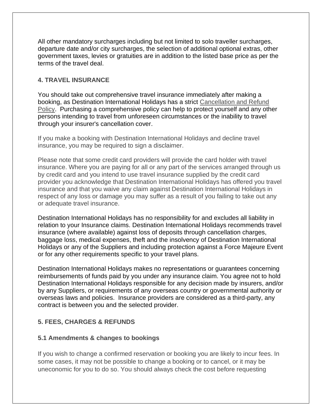All other mandatory surcharges including but not limited to solo traveller surcharges, departure date and/or city surcharges, the selection of additional optional extras, other government taxes, levies or gratuities are in addition to the listed base price as per the terms of the travel deal.

#### **4. TRAVEL INSURANCE**

You should take out comprehensive travel insurance immediately after making a booking, as Destination International Holidays has a strict [Cancellation and Refund](https://www.ditravel.com.au/wp-content/uploads/2020/08/DIH-CANCELLATION-AND-REFUND-POLICY-2020.pdf)  [Policy.](https://www.ditravel.com.au/wp-content/uploads/2020/08/DIH-CANCELLATION-AND-REFUND-POLICY-2020.pdf) Purchasing a comprehensive policy can help to protect yourself and any other persons intending to travel from unforeseen circumstances or the inability to travel through your insurer's cancellation cover.

If you make a booking with Destination International Holidays and decline travel insurance, you may be required to sign a disclaimer.

Please note that some credit card providers will provide the card holder with travel insurance. Where you are paying for all or any part of the services arranged through us by credit card and you intend to use travel insurance supplied by the credit card provider you acknowledge that Destination International Holidays has offered you travel insurance and that you waive any claim against Destination International Holidays in respect of any loss or damage you may suffer as a result of you failing to take out any or adequate travel insurance.

Destination International Holidays has no responsibility for and excludes all liability in relation to your Insurance claims. Destination International Holidays recommends travel insurance (where available) against loss of deposits through cancellation charges, baggage loss, medical expenses, theft and the insolvency of Destination International Holidays or any of the Suppliers and including protection against a Force Majeure Event or for any other requirements specific to your travel plans.

Destination International Holidays makes no representations or guarantees concerning reimbursements of funds paid by you under any insurance claim. You agree not to hold Destination International Holidays responsible for any decision made by insurers, and/or by any Suppliers, or requirements of any overseas country or governmental authority or overseas laws and policies. Insurance providers are considered as a third-party, any contract is between you and the selected provider.

#### **5. FEES, CHARGES & REFUNDS**

#### **5.1 Amendments & changes to bookings**

If you wish to change a confirmed reservation or booking you are likely to incur fees. In some cases, it may not be possible to change a booking or to cancel, or it may be uneconomic for you to do so. You should always check the cost before requesting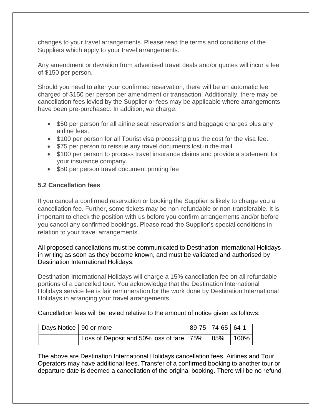changes to your travel arrangements. Please read the terms and conditions of the Suppliers which apply to your travel arrangements.

Any amendment or deviation from advertised travel deals and/or quotes will incur a fee of \$150 per person.

Should you need to alter your confirmed reservation, there will be an automatic fee charged of \$150 per person per amendment or transaction. Additionally, there may be cancellation fees levied by the Supplier or fees may be applicable where arrangements have been pre-purchased. In addition, we charge:

- \$50 per person for all airline seat reservations and baggage charges plus any airline fees.
- \$100 per person for all Tourist visa processing plus the cost for the visa fee.
- \$75 per person to reissue any travel documents lost in the mail.
- \$100 per person to process travel insurance claims and provide a statement for your insurance company.
- \$50 per person travel document printing fee

#### **5.2 Cancellation fees**

If you cancel a confirmed reservation or booking the Supplier is likely to charge you a cancellation fee. Further, some tickets may be non-refundable or non-transferable. It is important to check the position with us before you confirm arrangements and/or before you cancel any confirmed bookings. Please read the Supplier's special conditions in relation to your travel arrangements.

All proposed cancellations must be communicated to Destination International Holidays in writing as soon as they become known, and must be validated and authorised by Destination International Holidays.

Destination International Holidays will charge a 15% cancellation fee on all refundable portions of a cancelled tour. You acknowledge that the Destination International Holidays service fee is fair remuneration for the work done by Destination International Holidays in arranging your travel arrangements.

Cancellation fees will be levied relative to the amount of notice given as follows:

| Days Notice   90 or more |                                                         | 89-75   74-65   64-1 |  |
|--------------------------|---------------------------------------------------------|----------------------|--|
|                          | Loss of Deposit and 50% loss of fare   75%   85%   100% |                      |  |

The above are Destination International Holidays cancellation fees. Airlines and Tour Operators may have additional fees. Transfer of a confirmed booking to another tour or departure date is deemed a cancellation of the original booking. There will be no refund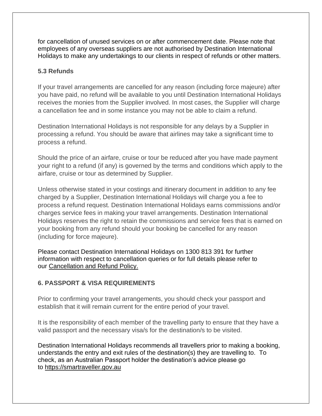for cancellation of unused services on or after commencement date. Please note that employees of any overseas suppliers are not authorised by Destination International Holidays to make any undertakings to our clients in respect of refunds or other matters.

#### **5.3 Refunds**

If your travel arrangements are cancelled for any reason (including force majeure) after you have paid, no refund will be available to you until Destination International Holidays receives the monies from the Supplier involved. In most cases, the Supplier will charge a cancellation fee and in some instance you may not be able to claim a refund.

Destination International Holidays is not responsible for any delays by a Supplier in processing a refund. You should be aware that airlines may take a significant time to process a refund.

Should the price of an airfare, cruise or tour be reduced after you have made payment your right to a refund (if any) is governed by the terms and conditions which apply to the airfare, cruise or tour as determined by Supplier.

Unless otherwise stated in your costings and itinerary document in addition to any fee charged by a Supplier, Destination International Holidays will charge you a fee to process a refund request. Destination International Holidays earns commissions and/or charges service fees in making your travel arrangements. Destination International Holidays reserves the right to retain the commissions and service fees that is earned on your booking from any refund should your booking be cancelled for any reason (including for force majeure).

Please contact Destination International Holidays on 1300 813 391 for further information with respect to cancellation queries or for full details please refer to our [Cancellation and Refund Policy.](https://www.ditravel.com.au/wp-content/uploads/2020/08/DIH-CANCELLATION-AND-REFUND-POLICY-2020.pdf)

#### **6. PASSPORT & VISA REQUIREMENTS**

Prior to confirming your travel arrangements, you should check your passport and establish that it will remain current for the entire period of your travel.

It is the responsibility of each member of the travelling party to ensure that they have a valid passport and the necessary visa/s for the destination/s to be visited.

Destination International Holidays recommends all travellers prior to making a booking, understands the entry and exit rules of the destination(s) they are travelling to. To check, as an Australian Passport holder the destination's advice please go to [https://smartraveller.gov.au](https://smartraveller.gov.au/)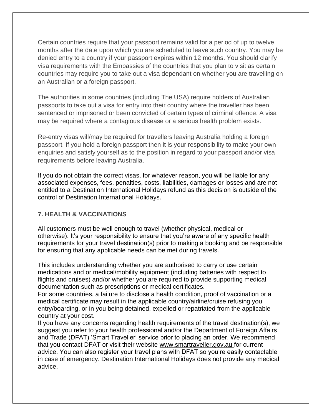Certain countries require that your passport remains valid for a period of up to twelve months after the date upon which you are scheduled to leave such country. You may be denied entry to a country if your passport expires within 12 months. You should clarify visa requirements with the Embassies of the countries that you plan to visit as certain countries may require you to take out a visa dependant on whether you are travelling on an Australian or a foreign passport.

The authorities in some countries (including The USA) require holders of Australian passports to take out a visa for entry into their country where the traveller has been sentenced or imprisoned or been convicted of certain types of criminal offence. A visa may be required where a contagious disease or a serious health problem exists.

Re-entry visas will/may be required for travellers leaving Australia holding a foreign passport. If you hold a foreign passport then it is your responsibility to make your own enquiries and satisfy yourself as to the position in regard to your passport and/or visa requirements before leaving Australia.

If you do not obtain the correct visas, for whatever reason, you will be liable for any associated expenses, fees, penalties, costs, liabilities, damages or losses and are not entitled to a Destination International Holidays refund as this decision is outside of the control of Destination International Holidays.

#### **7. HEALTH & VACCINATIONS**

All customers must be well enough to travel (whether physical, medical or otherwise). It's your responsibility to ensure that you're aware of any specific health requirements for your travel destination(s) prior to making a booking and be responsible for ensuring that any applicable needs can be met during travels.

This includes understanding whether you are authorised to carry or use certain medications and or medical/mobility equipment (including batteries with respect to flights and cruises) and/or whether you are required to provide supporting medical documentation such as prescriptions or medical certificates.

For some countries, a failure to disclose a health condition, proof of vaccination or a medical certificate may result in the applicable country/airline/cruise refusing you entry/boarding, or in you being detained, expelled or repatriated from the applicable country at your cost.

If you have any concerns regarding health requirements of the travel destination(s), we suggest you refer to your health professional and/or the Department of Foreign Affairs and Trade (DFAT) 'Smart Traveller' service prior to placing an order. We recommend that you contact DFAT or visit their website [www.smartraveller.gov.au](http://www.smartraveller.gov.au/) for current advice. You can also register your travel plans with DFAT so you're easily contactable in case of emergency. Destination International Holidays does not provide any medical advice.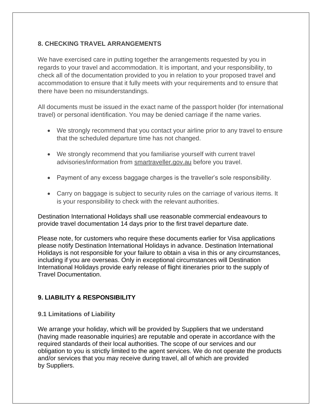#### **8. CHECKING TRAVEL ARRANGEMENTS**

We have exercised care in putting together the arrangements requested by you in regards to your travel and accommodation. It is important, and your responsibility, to check all of the documentation provided to you in relation to your proposed travel and accommodation to ensure that it fully meets with your requirements and to ensure that there have been no misunderstandings.

All documents must be issued in the exact name of the passport holder (for international travel) or personal identification. You may be denied carriage if the name varies.

- We strongly recommend that you contact your airline prior to any travel to ensure that the scheduled departure time has not changed.
- We strongly recommend that you familiarise yourself with current travel advisories/information from [smartraveller.gov.au](https://www.smartraveller.gov.au/) before you travel.
- Payment of any excess baggage charges is the traveller's sole responsibility.
- Carry on baggage is subject to security rules on the carriage of various items. It is your responsibility to check with the relevant authorities.

Destination International Holidays shall use reasonable commercial endeavours to provide travel documentation 14 days prior to the first travel departure date.

Please note, for customers who require these documents earlier for Visa applications please notify Destination International Holidays in advance. Destination International Holidays is not responsible for your failure to obtain a visa in this or any circumstances, including if you are overseas. Only in exceptional circumstances will Destination International Holidays provide early release of flight itineraries prior to the supply of Travel Documentation.

## **9. LIABILITY & RESPONSIBILITY**

#### **9.1 Limitations of Liability**

We arrange your holiday, which will be provided by Suppliers that we understand (having made reasonable inquiries) are reputable and operate in accordance with the required standards of their local authorities. The scope of our services and our obligation to you is strictly limited to the agent services. We do not operate the products and/or services that you may receive during travel, all of which are provided by Suppliers.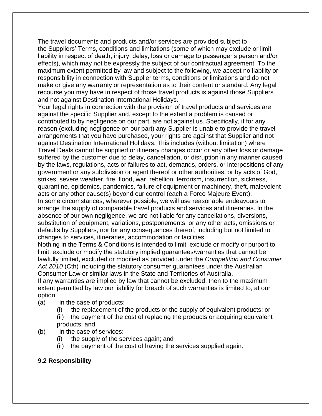The travel documents and products and/or services are provided subject to the Suppliers' Terms, conditions and limitations (some of which may exclude or limit liability in respect of death, injury, delay, loss or damage to passenger's person and/or effects), which may not be expressly the subject of our contractual agreement. To the maximum extent permitted by law and subject to the following, we accept no liability or responsibility in connection with Supplier terms, conditions or limitations and do not make or give any warranty or representation as to their content or standard. Any legal recourse you may have in respect of those travel products is against those Suppliers and not against Destination International Holidays.

Your legal rights in connection with the provision of travel products and services are against the specific Supplier and, except to the extent a problem is caused or contributed to by negligence on our part, are not against us. Specifically, if for any reason (excluding negligence on our part) any Supplier is unable to provide the travel arrangements that you have purchased, your rights are against that Supplier and not against Destination International Holidays. This includes (without limitation) where Travel Deals cannot be supplied or itinerary changes occur or any other loss or damage suffered by the customer due to delay, cancellation, or disruption in any manner caused by the laws, regulations, acts or failures to act, demands, orders, or interpositions of any government or any subdivision or agent thereof or other authorities, or by acts of God, strikes, severe weather, fire, flood, war, rebellion, terrorism, insurrection, sickness, quarantine, epidemics, pandemics, failure of equipment or machinery, theft, malevolent acts or any other cause(s) beyond our control (each a Force Majeure Event). In some circumstances, wherever possible, we will use reasonable endeavours to arrange the supply of comparable travel products and services and itineraries. In the absence of our own negligence, we are not liable for any cancellations, diversions, substitution of equipment, variations, postponements, or any other acts, omissions or defaults by Suppliers, nor for any consequences thereof, including but not limited to changes to services, itineraries, accommodation or facilities.

Nothing in the Terms & Conditions is intended to limit, exclude or modify or purport to limit, exclude or modify the statutory implied guarantees/warranties that cannot be lawfully limited, excluded or modified as provided under the *Competition and Consumer Act 2010* (Cth) including the statutory consumer guarantees under the Australian Consumer Law or similar laws in the State and Territories of Australia.

If any warranties are implied by law that cannot be excluded, then to the maximum extent permitted by law our liability for breach of such warranties is limited to, at our option:

- (a) in the case of products:
	- (i) the replacement of the products or the supply of equivalent products; or

(ii) the payment of the cost of replacing the products or acquiring equivalent products; and

- (b) in the case of services:
	- (i) the supply of the services again; and
	- (ii) the payment of the cost of having the services supplied again.

#### **9.2 Responsibility**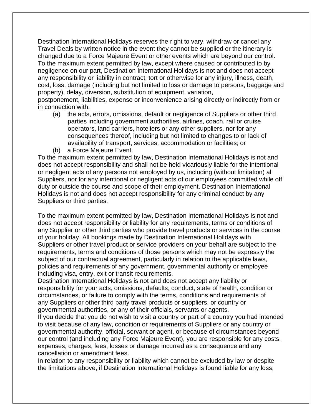Destination International Holidays reserves the right to vary, withdraw or cancel any Travel Deals by written notice in the event they cannot be supplied or the itinerary is changed due to a Force Majeure Event or other events which are beyond our control. To the maximum extent permitted by law, except where caused or contributed to by negligence on our part, Destination International Holidays is not and does not accept any responsibility or liability in contract, tort or otherwise for any injury, illness, death, cost, loss, damage (including but not limited to loss or damage to persons, baggage and property), delay, diversion, substitution of equipment, variation,

postponement, liabilities, expense or inconvenience arising directly or indirectly from or in connection with:

- (a) the acts, errors, omissions, default or negligence of Suppliers or other third parties including government authorities, airlines, coach, rail or cruise operators, land carriers, hoteliers or any other suppliers, nor for any consequences thereof, including but not limited to changes to or lack of availability of transport, services, accommodation or facilities; or
- (b) a Force Majeure Event.

To the maximum extent permitted by law, Destination International Holidays is not and does not accept responsibility and shall not be held vicariously liable for the intentional or negligent acts of any persons not employed by us, including (without limitation) all Suppliers, nor for any intentional or negligent acts of our employees committed while off duty or outside the course and scope of their employment. Destination International Holidays is not and does not accept responsibility for any criminal conduct by any Suppliers or third parties.

To the maximum extent permitted by law, Destination International Holidays is not and does not accept responsibility or liability for any requirements, terms or conditions of any Supplier or other third parties who provide travel products or services in the course of your holiday. All bookings made by Destination International Holidays with Suppliers or other travel product or service providers on your behalf are subject to the requirements, terms and conditions of those persons which may not be expressly the subject of our contractual agreement, particularly in relation to the applicable laws, policies and requirements of any government, governmental authority or employee including visa, entry, exit or transit requirements.

Destination International Holidays is not and does not accept any liability or responsibility for your acts, omissions, defaults, conduct, state of health, condition or circumstances, or failure to comply with the terms, conditions and requirements of any Suppliers or other third party travel products or suppliers, or country or governmental authorities, or any of their officials, servants or agents.

If you decide that you do not wish to visit a country or part of a country you had intended to visit because of any law, condition or requirements of Suppliers or any country or governmental authority, official, servant or agent, or because of circumstances beyond our control (and including any Force Majeure Event), you are responsible for any costs, expenses, charges, fees, losses or damage incurred as a consequence and any cancellation or amendment fees.

In relation to any responsibility or liability which cannot be excluded by law or despite the limitations above, if Destination International Holidays is found liable for any loss,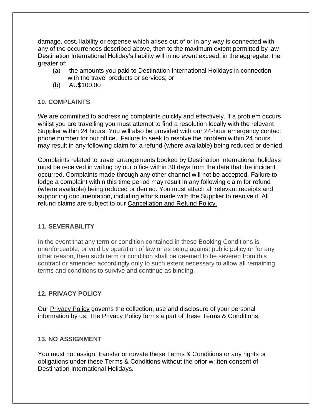damage, cost, liability or expense which arises out of or in any way is connected with any of the occurrences described above, then to the maximum extent permitted by law Destination International Holiday's liability will in no event exceed, in the aggregate, the greater of:

- (a) the amounts you paid to Destination International Holidays in connection with the travel products or services; or
- (b) AU\$100.00

#### **10. COMPLAINTS**

We are committed to addressing complaints quickly and effectively. If a problem occurs whilst you are travelling you must attempt to find a resolution locally with the relevant Supplier within 24 hours. You will also be provided with our 24-hour emergency contact phone number for our office. Failure to seek to resolve the problem within 24 hours may result in any following claim for a refund (where available) being reduced or denied.

Complaints related to travel arrangements booked by Destination International holidays must be received in writing by our office within 30 days from the date that the incident occurred. Complaints made through any other channel will not be accepted. Failure to lodge a complaint within this time period may result in any following claim for refund (where available) being reduced or denied. You must attach all relevant receipts and supporting documentation, including efforts made with the Supplier to resolve it. All refund claims are subject to our [Cancellation and Refund Policy.](https://www.ditravel.com.au/wp-content/uploads/2020/08/DIH-CANCELLATION-AND-REFUND-POLICY-2020.pdf)

#### **11. SEVERABILITY**

In the event that any term or condition contained in these Booking Conditions is unenforceable, or void by operation of law or as being against public policy or for any other reason, then such term or condition shall be deemed to be severed from this contract or amended accordingly only to such extent necessary to allow all remaining terms and conditions to survive and continue as binding.

#### **12. PRIVACY POLICY**

Our [Privacy Policy](https://www.ditravel.com.au/wpautoterms/privacy-policy/) governs the collection, use and disclosure of your personal information by us. The Privacy Policy forms a part of these Terms & Conditions.

#### **13. NO ASSIGNMENT**

You must not assign, transfer or novate these Terms & Conditions or any rights or obligations under these Terms & Conditions without the prior written consent of Destination International Holidays.